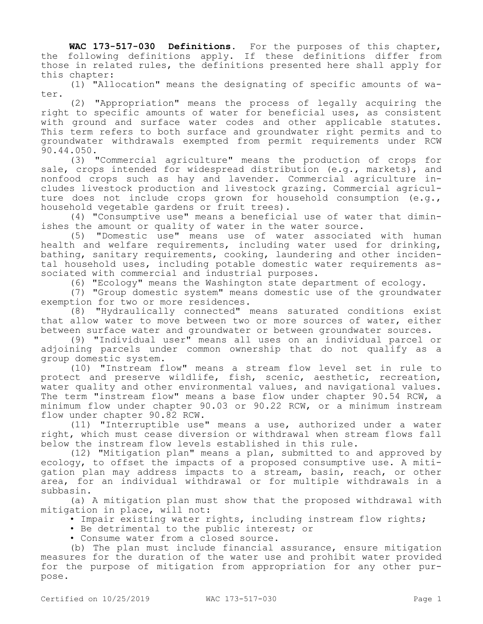**WAC 173-517-030 Definitions.** For the purposes of this chapter, the following definitions apply. If these definitions differ from those in related rules, the definitions presented here shall apply for this chapter:

(1) "Allocation" means the designating of specific amounts of water.

(2) "Appropriation" means the process of legally acquiring the right to specific amounts of water for beneficial uses, as consistent with ground and surface water codes and other applicable statutes. This term refers to both surface and groundwater right permits and to groundwater withdrawals exempted from permit requirements under RCW 90.44.050.

(3) "Commercial agriculture" means the production of crops for sale, crops intended for widespread distribution (e.g., markets), and nonfood crops such as hay and lavender. Commercial agriculture includes livestock production and livestock grazing. Commercial agriculture does not include crops grown for household consumption (e.g., household vegetable gardens or fruit trees).

(4) "Consumptive use" means a beneficial use of water that diminishes the amount or quality of water in the water source.

(5) "Domestic use" means use of water associated with human health and welfare requirements, including water used for drinking, bathing, sanitary requirements, cooking, laundering and other incidental household uses, including potable domestic water requirements associated with commercial and industrial purposes.

(6) "Ecology" means the Washington state department of ecology.

(7) "Group domestic system" means domestic use of the groundwater exemption for two or more residences.

(8) "Hydraulically connected" means saturated conditions exist that allow water to move between two or more sources of water, either between surface water and groundwater or between groundwater sources.

(9) "Individual user" means all uses on an individual parcel or adjoining parcels under common ownership that do not qualify as a group domestic system.

(10) "Instream flow" means a stream flow level set in rule to protect and preserve wildlife, fish, scenic, aesthetic, recreation, water quality and other environmental values, and navigational values. The term "instream flow" means a base flow under chapter 90.54 RCW, a minimum flow under chapter 90.03 or 90.22 RCW, or a minimum instream flow under chapter 90.82 RCW.

(11) "Interruptible use" means a use, authorized under a water right, which must cease diversion or withdrawal when stream flows fall below the instream flow levels established in this rule.

(12) "Mitigation plan" means a plan, submitted to and approved by ecology, to offset the impacts of a proposed consumptive use. A mitigation plan may address impacts to a stream, basin, reach, or other area, for an individual withdrawal or for multiple withdrawals in a subbasin.

(a) A mitigation plan must show that the proposed withdrawal with mitigation in place, will not:

• Impair existing water rights, including instream flow rights;

• Be detrimental to the public interest; or

• Consume water from a closed source.

(b) The plan must include financial assurance, ensure mitigation measures for the duration of the water use and prohibit water provided for the purpose of mitigation from appropriation for any other purpose.